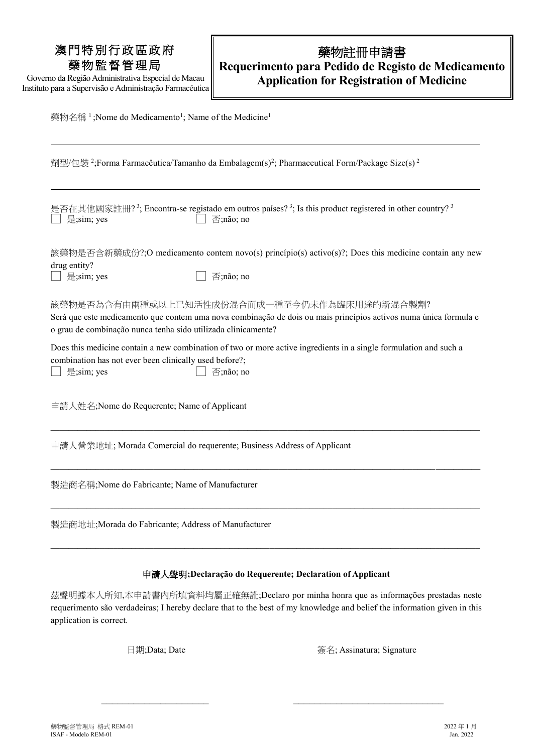## 澳門特別行政區政府 藥物監督管理局

Governo da Região Administrativa Especial de Macau Instituto para a Supervisão e Administração Farmacêutica

## 藥物註冊申請書 **Requerimento para Pedido de Registo de Medicamento Application for Registration of Medicine**

藥物名稱<sup>1</sup>; Nome do Medicamento<sup>1</sup>; Name of the Medicine<sup>1</sup>

劑型/包裝<sup>2</sup>;Forma Farmacêutica/Tamanho da Embalagem(s)<sup>2</sup>; Pharmaceutical Form/Package Size(s)<sup>2</sup> 是否在其他國家註冊? 3; Encontra-se registado em outros países? 3; Is this product registered in other country? 3 □ 是;sim; yes □ 否;não; no 該藥物是否含新藥成份?;O medicamento contem novo(s) princípio(s) activo(s)?; Does this medicine contain any new drug entity? □ 是;sim; yes □ 否;não; no 該藥物是否為含有由兩種或以上已知活性成份混合而成一種至今仍未作為臨床用途的新混合製劑? Será que este medicamento que contem uma nova combinação de dois ou mais princípios activos numa única formula e o grau de combinação nunca tenha sido utilizada clínicamente? Does this medicine contain a new combination of two or more active ingredients in a single formulation and such a combination has not ever been clinically used before?; □ 是;sim; yes 否;não; no 申請人姓名;Nome do Requerente; Name of Applicant  $\_$  , and the state of the state of the state of the state of the state of the state of the state of the state of the state of the state of the state of the state of the state of the state of the state of the state of the 申請人營業地址; Morada Comercial do requerente; Business Address of Applicant  $\_$  , and the state of the state of the state of the state of the state of the state of the state of the state of the state of the state of the state of the state of the state of the state of the state of the state of the 製造商名稱;Nome do Fabricante; Name of Manufacturer 製造商地址;Morada do Fabricante; Address of Manufacturer

#### 申請人聲明**;Declaração do Requerente; Declaration of Applicant**

 $\_$  , and the state of the state of the state of the state of the state of the state of the state of the state of the state of the state of the state of the state of the state of the state of the state of the state of the

茲聲明據本人所知,本申請書內所填資料均屬正確無訛;Declaro por minha honra que as informações prestadas neste requerimento são verdadeiras; I hereby declare that to the best of my knowledge and belief the information given in this application is correct.

\_\_\_\_\_\_\_\_\_\_\_\_\_\_\_\_\_\_\_\_ \_\_\_\_\_\_\_\_\_\_\_\_\_\_\_\_\_\_\_\_\_\_\_\_\_\_\_\_

日期;Data; Date 簽名; Assinatura; Signature